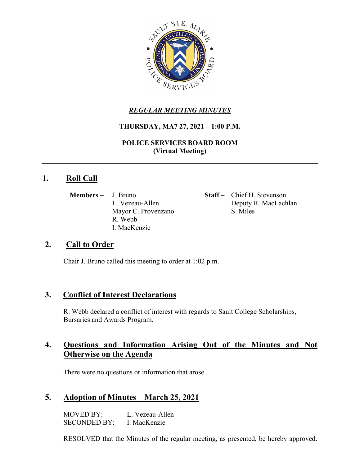

# *REGULAR MEETING MINUTES*

#### **THURSDAY, MA7 27, 2021 – 1:00 P.M.**

**POLICE SERVICES BOARD ROOM (Virtual Meeting)**

# **1. Roll Call**

**Members** – J. Bruno **Staff** – Chief H. Stevenson Mayor C. Provenzano S. Miles R. Webb I. MacKenzie

L. Vezeau-Allen Deputy R. MacLachlan

# **2. Call to Order**

Chair J. Bruno called this meeting to order at 1:02 p.m.

# **3. Conflict of Interest Declarations**

R. Webb declared a conflict of interest with regards to Sault College Scholarships, Bursaries and Awards Program.

# **4. Questions and Information Arising Out of the Minutes and Not Otherwise on the Agenda**

There were no questions or information that arose.

# **5. Adoption of Minutes – March 25, 2021**

MOVED BY: L. Vezeau-Allen SECONDED BY: I. MacKenzie

RESOLVED that the Minutes of the regular meeting, as presented, be hereby approved.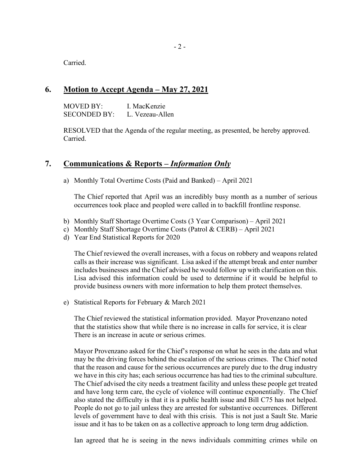Carried.

#### **6. Motion to Accept Agenda – May 27, 2021**

MOVED BY: I. MacKenzie SECONDED BY: L. Vezeau-Allen

RESOLVED that the Agenda of the regular meeting, as presented, be hereby approved. Carried.

#### **7. Communications & Reports –** *Information Only*

a) Monthly Total Overtime Costs (Paid and Banked) – April 2021

The Chief reported that April was an incredibly busy month as a number of serious occurrences took place and peopled were called in to backfill frontline response.

- b) Monthly Staff Shortage Overtime Costs (3 Year Comparison) April 2021
- c) Monthly Staff Shortage Overtime Costs (Patrol & CERB) April 2021
- d) Year End Statistical Reports for 2020

The Chief reviewed the overall increases, with a focus on robbery and weapons related calls as their increase was significant. Lisa asked if the attempt break and enter number includes businesses and the Chief advised he would follow up with clarification on this. Lisa advised this information could be used to determine if it would be helpful to provide business owners with more information to help them protect themselves.

e) Statistical Reports for February & March 2021

The Chief reviewed the statistical information provided. Mayor Provenzano noted that the statistics show that while there is no increase in calls for service, it is clear There is an increase in acute or serious crimes.

Mayor Provenzano asked for the Chief's response on what he sees in the data and what may be the driving forces behind the escalation of the serious crimes. The Chief noted that the reason and cause for the serious occurrences are purely due to the drug industry we have in this city has; each serious occurrence has had ties to the criminal subculture. The Chief advised the city needs a treatment facility and unless these people get treated and have long term care, the cycle of violence will continue exponentially. The Chief also stated the difficulty is that it is a public health issue and Bill C75 has not helped. People do not go to jail unless they are arrested for substantive occurrences. Different levels of government have to deal with this crisis. This is not just a Sault Ste. Marie issue and it has to be taken on as a collective approach to long term drug addiction.

Ian agreed that he is seeing in the news individuals committing crimes while on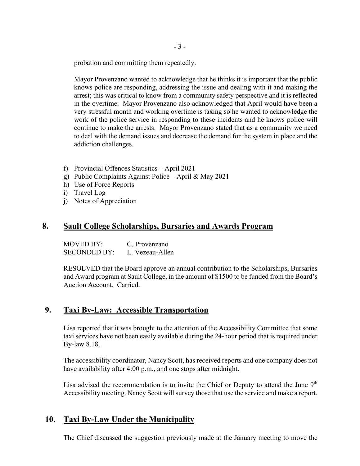probation and committing them repeatedly.

Mayor Provenzano wanted to acknowledge that he thinks it is important that the public knows police are responding, addressing the issue and dealing with it and making the arrest; this was critical to know from a community safety perspective and it is reflected in the overtime. Mayor Provenzano also acknowledged that April would have been a very stressful month and working overtime is taxing so he wanted to acknowledge the work of the police service in responding to these incidents and he knows police will continue to make the arrests. Mayor Provenzano stated that as a community we need to deal with the demand issues and decrease the demand for the system in place and the addiction challenges.

- f) Provincial Offences Statistics April 2021
- g) Public Complaints Against Police April & May 2021
- h) Use of Force Reports
- i) Travel Log
- j) Notes of Appreciation

#### **8. Sault College Scholarships, Bursaries and Awards Program**

MOVED BY: C. Provenzano SECONDED BY: L. Vezeau-Allen

RESOLVED that the Board approve an annual contribution to the Scholarships, Bursaries and Award program at Sault College, in the amount of \$1500 to be funded from the Board's Auction Account. Carried.

# **9. Taxi By-Law: Accessible Transportation**

Lisa reported that it was brought to the attention of the Accessibility Committee that some taxi services have not been easily available during the 24-hour period that is required under By-law 8.18.

The accessibility coordinator, Nancy Scott, has received reports and one company does not have availability after 4:00 p.m., and one stops after midnight.

Lisa advised the recommendation is to invite the Chief or Deputy to attend the June  $9<sup>th</sup>$ Accessibility meeting. Nancy Scott will survey those that use the service and make a report.

# **10. Taxi By-Law Under the Municipality**

The Chief discussed the suggestion previously made at the January meeting to move the